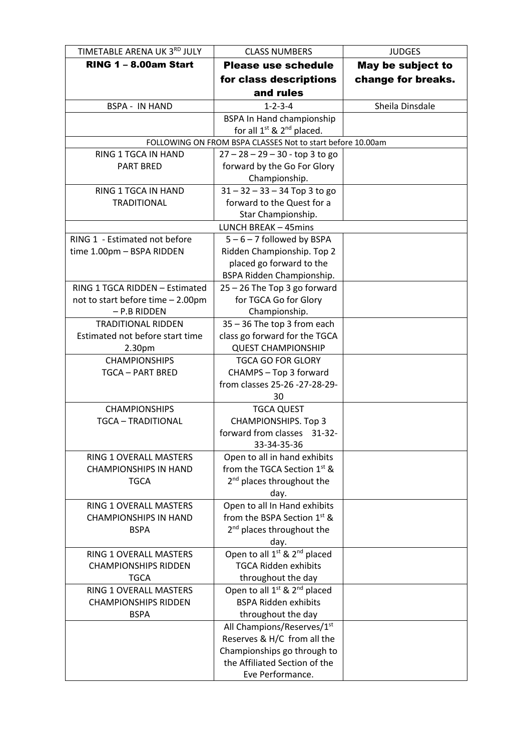| TIMETABLE ARENA UK 3RD JULY               | <b>CLASS NUMBERS</b>                                       | <b>JUDGES</b>      |
|-------------------------------------------|------------------------------------------------------------|--------------------|
| <b>RING 1 - 8.00am Start</b>              | <b>Please use schedule</b>                                 | May be subject to  |
|                                           | for class descriptions                                     | change for breaks. |
|                                           | and rules                                                  |                    |
| <b>BSPA - IN HAND</b>                     | $1 - 2 - 3 - 4$                                            | Sheila Dinsdale    |
|                                           | <b>BSPA In Hand championship</b>                           |                    |
|                                           | for all $1^{st}$ & $2^{nd}$ placed.                        |                    |
|                                           | FOLLOWING ON FROM BSPA CLASSES Not to start before 10.00am |                    |
| RING 1 TGCA IN HAND                       | $27 - 28 - 29 - 30 - top 3 to go$                          |                    |
| <b>PART BRED</b>                          | forward by the Go For Glory                                |                    |
|                                           | Championship.                                              |                    |
| RING 1 TGCA IN HAND                       | $31 - 32 - 33 - 34$ Top 3 to go                            |                    |
| <b>TRADITIONAL</b>                        | forward to the Quest for a                                 |                    |
|                                           | Star Championship.                                         |                    |
|                                           | <b>LUNCH BREAK - 45mins</b>                                |                    |
| RING 1 - Estimated not before             | $5 - 6 - 7$ followed by BSPA                               |                    |
| time 1.00pm - BSPA RIDDEN                 | Ridden Championship. Top 2                                 |                    |
|                                           | placed go forward to the                                   |                    |
| RING 1 TGCA RIDDEN - Estimated            | BSPA Ridden Championship.                                  |                    |
|                                           | 25 - 26 The Top 3 go forward                               |                    |
| not to start before time - 2.00pm         | for TGCA Go for Glory                                      |                    |
| - P.B RIDDEN<br><b>TRADITIONAL RIDDEN</b> | Championship.<br>35 - 36 The top 3 from each               |                    |
| Estimated not before start time           | class go forward for the TGCA                              |                    |
| 2.30pm                                    | <b>QUEST CHAMPIONSHIP</b>                                  |                    |
| <b>CHAMPIONSHIPS</b>                      | <b>TGCA GO FOR GLORY</b>                                   |                    |
| <b>TGCA - PART BRED</b>                   | CHAMPS - Top 3 forward                                     |                    |
|                                           | from classes 25-26 -27-28-29-                              |                    |
|                                           | 30                                                         |                    |
| <b>CHAMPIONSHIPS</b>                      | <b>TGCA QUEST</b>                                          |                    |
| <b>TGCA - TRADITIONAL</b>                 | <b>CHAMPIONSHIPS. Top 3</b>                                |                    |
|                                           | forward from classes 31-32-                                |                    |
|                                           | 33-34-35-36                                                |                    |
| RING 1 OVERALL MASTERS                    | Open to all in hand exhibits                               |                    |
| <b>CHAMPIONSHIPS IN HAND</b>              | from the TGCA Section 1st &                                |                    |
| <b>TGCA</b>                               | 2 <sup>nd</sup> places throughout the                      |                    |
|                                           | day.                                                       |                    |
| RING 1 OVERALL MASTERS                    | Open to all In Hand exhibits                               |                    |
| <b>CHAMPIONSHIPS IN HAND</b>              | from the BSPA Section 1st &                                |                    |
| <b>BSPA</b>                               | 2 <sup>nd</sup> places throughout the                      |                    |
|                                           | day.                                                       |                    |
| RING 1 OVERALL MASTERS                    | Open to all 1 <sup>st</sup> & 2 <sup>nd</sup> placed       |                    |
| <b>CHAMPIONSHIPS RIDDEN</b>               | <b>TGCA Ridden exhibits</b>                                |                    |
| <b>TGCA</b>                               | throughout the day                                         |                    |
| RING 1 OVERALL MASTERS                    | Open to all 1 <sup>st</sup> & 2 <sup>nd</sup> placed       |                    |
| <b>CHAMPIONSHIPS RIDDEN</b>               | <b>BSPA Ridden exhibits</b>                                |                    |
| <b>BSPA</b>                               | throughout the day                                         |                    |
|                                           | All Champions/Reserves/1st                                 |                    |
|                                           | Reserves & H/C from all the                                |                    |
|                                           | Championships go through to                                |                    |
|                                           | the Affiliated Section of the                              |                    |
|                                           | Eve Performance.                                           |                    |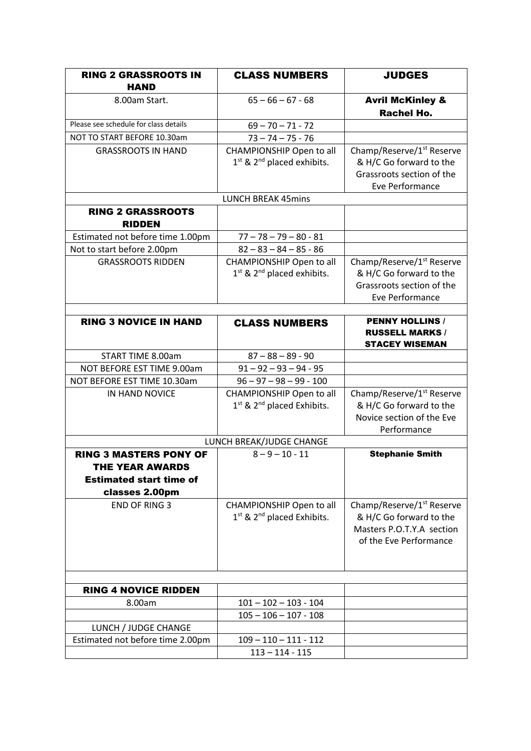| <b>RING 2 GRASSROOTS IN</b>                                                                                 | <b>CLASS NUMBERS</b>                                                           | <b>JUDGES</b>                                                                                                           |
|-------------------------------------------------------------------------------------------------------------|--------------------------------------------------------------------------------|-------------------------------------------------------------------------------------------------------------------------|
| <b>HAND</b>                                                                                                 |                                                                                |                                                                                                                         |
| 8.00am Start.                                                                                               | $65 - 66 - 67 - 68$                                                            | <b>Avril McKinley &amp;</b><br><b>Rachel Ho.</b>                                                                        |
| Please see schedule for class details                                                                       | $69 - 70 - 71 - 72$                                                            |                                                                                                                         |
| NOT TO START BEFORE 10.30am                                                                                 | $73 - 74 - 75 - 76$                                                            |                                                                                                                         |
| <b>GRASSROOTS IN HAND</b>                                                                                   | CHAMPIONSHIP Open to all<br>1st & 2 <sup>nd</sup> placed exhibits.             | Champ/Reserve/1 <sup>st</sup> Reserve<br>& H/C Go forward to the<br>Grassroots section of the<br>Eve Performance        |
|                                                                                                             | <b>LUNCH BREAK 45mins</b>                                                      |                                                                                                                         |
| <b>RING 2 GRASSROOTS</b><br><b>RIDDEN</b>                                                                   |                                                                                |                                                                                                                         |
| Estimated not before time 1.00pm                                                                            | $77 - 78 - 79 - 80 - 81$                                                       |                                                                                                                         |
| Not to start before 2.00pm                                                                                  | $82 - 83 - 84 - 85 - 86$                                                       |                                                                                                                         |
| <b>GRASSROOTS RIDDEN</b>                                                                                    | CHAMPIONSHIP Open to all<br>1 <sup>st</sup> & 2 <sup>nd</sup> placed exhibits. | Champ/Reserve/1 <sup>st</sup> Reserve<br>& H/C Go forward to the<br>Grassroots section of the<br>Eve Performance        |
|                                                                                                             |                                                                                |                                                                                                                         |
| <b>RING 3 NOVICE IN HAND</b>                                                                                | <b>CLASS NUMBERS</b>                                                           | <b>PENNY HOLLINS /</b><br><b>RUSSELL MARKS /</b><br><b>STACEY WISEMAN</b>                                               |
| START TIME 8.00am                                                                                           | $87 - 88 - 89 - 90$                                                            |                                                                                                                         |
| NOT BEFORE EST TIME 9.00am                                                                                  | $91 - 92 - 93 - 94 - 95$                                                       |                                                                                                                         |
| NOT BEFORE EST TIME 10.30am                                                                                 | $96 - 97 - 98 - 99 - 100$                                                      |                                                                                                                         |
| IN HAND NOVICE                                                                                              | CHAMPIONSHIP Open to all<br>$1st$ & $2nd$ placed Exhibits.                     | Champ/Reserve/1 <sup>st</sup> Reserve<br>& H/C Go forward to the<br>Novice section of the Eve<br>Performance            |
|                                                                                                             | LUNCH BREAK/JUDGE CHANGE                                                       |                                                                                                                         |
| <b>RING 3 MASTERS PONY OF</b><br><b>THE YEAR AWARDS</b><br><b>Estimated start time of</b><br>classes 2.00pm | $8 - 9 - 10 - 11$                                                              | <b>Stephanie Smith</b>                                                                                                  |
| <b>END OF RING 3</b>                                                                                        | CHAMPIONSHIP Open to all<br>1 <sup>st</sup> & 2 <sup>nd</sup> placed Exhibits. | Champ/Reserve/1 <sup>st</sup> Reserve<br>& H/C Go forward to the<br>Masters P.O.T.Y.A section<br>of the Eve Performance |
|                                                                                                             |                                                                                |                                                                                                                         |
| <b>RING 4 NOVICE RIDDEN</b>                                                                                 |                                                                                |                                                                                                                         |
| 8.00am                                                                                                      | $101 - 102 - 103 - 104$                                                        |                                                                                                                         |
|                                                                                                             | $105 - 106 - 107 - 108$                                                        |                                                                                                                         |
| LUNCH / JUDGE CHANGE<br>Estimated not before time 2.00pm                                                    | $109 - 110 - 111 - 112$                                                        |                                                                                                                         |
|                                                                                                             | $113 - 114 - 115$                                                              |                                                                                                                         |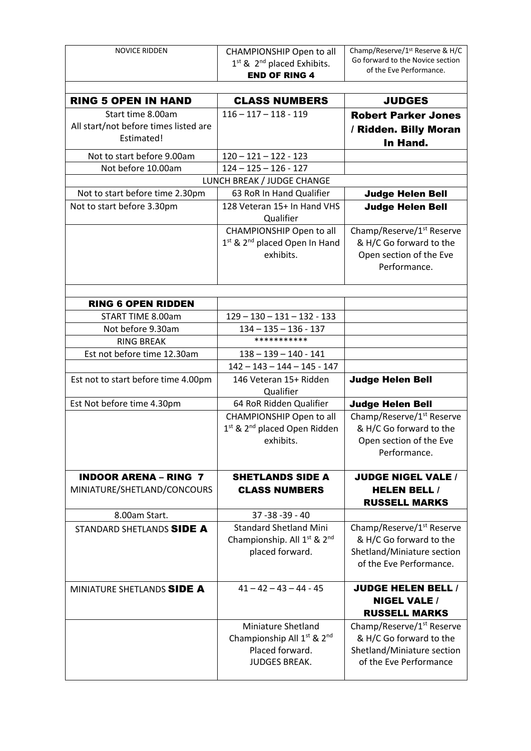| <b>NOVICE RIDDEN</b>                  | CHAMPIONSHIP Open to all                             | Champ/Reserve/1 <sup>st</sup> Reserve & H/C |
|---------------------------------------|------------------------------------------------------|---------------------------------------------|
|                                       | 1st & 2 <sup>nd</sup> placed Exhibits.               | Go forward to the Novice section            |
|                                       | <b>END OF RING 4</b>                                 | of the Eve Performance.                     |
|                                       |                                                      |                                             |
| <b>RING 5 OPEN IN HAND</b>            | <b>CLASS NUMBERS</b>                                 | <b>JUDGES</b>                               |
| Start time 8.00am                     | $116 - 117 - 118 - 119$                              | <b>Robert Parker Jones</b>                  |
| All start/not before times listed are |                                                      | / Ridden. Billy Moran                       |
| Estimated!                            |                                                      | In Hand.                                    |
|                                       |                                                      |                                             |
| Not to start before 9.00am            | $120 - 121 - 122 - 123$                              |                                             |
| Not before 10.00am                    | $124 - 125 - 126 - 127$                              |                                             |
|                                       | LUNCH BREAK / JUDGE CHANGE                           |                                             |
| Not to start before time 2.30pm       | 63 RoR In Hand Qualifier                             | <b>Judge Helen Bell</b>                     |
| Not to start before 3.30pm            | 128 Veteran 15+ In Hand VHS<br>Qualifier             | <b>Judge Helen Bell</b>                     |
|                                       | CHAMPIONSHIP Open to all                             | Champ/Reserve/1 <sup>st</sup> Reserve       |
|                                       | 1st & 2nd placed Open In Hand                        | & H/C Go forward to the                     |
|                                       | exhibits.                                            | Open section of the Eve                     |
|                                       |                                                      | Performance.                                |
|                                       |                                                      |                                             |
| <b>RING 6 OPEN RIDDEN</b>             |                                                      |                                             |
| START TIME 8.00am                     | $129 - 130 - 131 - 132 - 133$                        |                                             |
| Not before 9.30am                     | $134 - 135 - 136 - 137$                              |                                             |
| <b>RING BREAK</b>                     | ***********                                          |                                             |
| Est not before time 12.30am           | $138 - 139 - 140 - 141$                              |                                             |
|                                       | $142 - 143 - 144 - 145 - 147$                        |                                             |
| Est not to start before time 4.00pm   | 146 Veteran 15+ Ridden                               |                                             |
|                                       | Qualifier                                            | <b>Judge Helen Bell</b>                     |
| Est Not before time 4.30pm            | 64 RoR Ridden Qualifier                              | <b>Judge Helen Bell</b>                     |
|                                       | CHAMPIONSHIP Open to all                             | Champ/Reserve/1 <sup>st</sup> Reserve       |
|                                       | 1 <sup>st</sup> & 2 <sup>nd</sup> placed Open Ridden | & H/C Go forward to the                     |
|                                       | exhibits.                                            | Open section of the Eve                     |
|                                       |                                                      | Performance.                                |
|                                       |                                                      |                                             |
| <b>INDOOR ARENA - RING 7</b>          | <b>SHETLANDS SIDE A</b>                              | <b>JUDGE NIGEL VALE /</b>                   |
| MINIATURE/SHETLAND/CONCOURS           | <b>CLASS NUMBERS</b>                                 | <b>HELEN BELL /</b>                         |
|                                       |                                                      | <b>RUSSELL MARKS</b>                        |
| 8.00am Start.                         | 37 - 38 - 39 - 40                                    |                                             |
| STANDARD SHETLANDS SIDE A             | <b>Standard Shetland Mini</b>                        | Champ/Reserve/1 <sup>st</sup> Reserve       |
|                                       | Championship. All 1 <sup>st</sup> & 2 <sup>nd</sup>  | & H/C Go forward to the                     |
|                                       | placed forward.                                      | Shetland/Miniature section                  |
|                                       |                                                      | of the Eve Performance.                     |
|                                       |                                                      |                                             |
| MINIATURE SHETLANDS SIDE A            | $41 - 42 - 43 - 44 - 45$                             | <b>JUDGE HELEN BELL /</b>                   |
|                                       |                                                      | <b>NIGEL VALE /</b>                         |
|                                       |                                                      |                                             |
|                                       |                                                      | <b>RUSSELL MARKS</b>                        |
|                                       | <b>Miniature Shetland</b>                            | Champ/Reserve/1 <sup>st</sup> Reserve       |
|                                       | Championship All 1 <sup>st</sup> & 2 <sup>nd</sup>   | & H/C Go forward to the                     |
|                                       | Placed forward.                                      | Shetland/Miniature section                  |
|                                       | <b>JUDGES BREAK.</b>                                 | of the Eve Performance                      |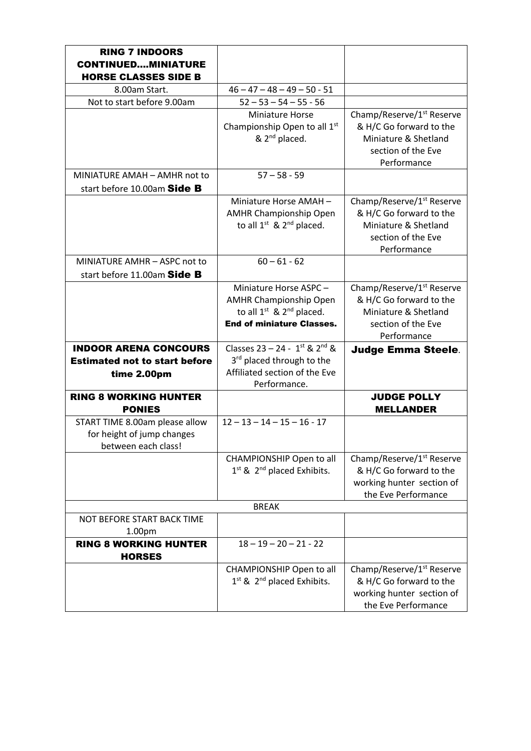| <b>RING 7 INDOORS</b><br><b>CONTINUEDMINIATURE</b><br><b>HORSE CLASSES SIDE B</b>   |                                                                                                                                   |                                                                                                                               |
|-------------------------------------------------------------------------------------|-----------------------------------------------------------------------------------------------------------------------------------|-------------------------------------------------------------------------------------------------------------------------------|
| 8.00am Start.                                                                       | $46 - 47 - 48 - 49 - 50 - 51$                                                                                                     |                                                                                                                               |
| Not to start before 9.00am                                                          | $52 - 53 - 54 - 55 - 56$                                                                                                          |                                                                                                                               |
|                                                                                     | <b>Miniature Horse</b><br>Championship Open to all 1 <sup>st</sup><br>& 2 <sup>nd</sup> placed.                                   | Champ/Reserve/1 <sup>st</sup> Reserve<br>& H/C Go forward to the<br>Miniature & Shetland<br>section of the Eve<br>Performance |
| MINIATURE AMAH - AMHR not to                                                        | $57 - 58 - 59$                                                                                                                    |                                                                                                                               |
| start before 10.00am Side B                                                         |                                                                                                                                   |                                                                                                                               |
|                                                                                     | Miniature Horse AMAH-<br><b>AMHR Championship Open</b><br>to all $1^{st}$ & $2^{nd}$ placed.                                      | Champ/Reserve/1 <sup>st</sup> Reserve<br>& H/C Go forward to the<br>Miniature & Shetland<br>section of the Eve<br>Performance |
| MINIATURE AMHR - ASPC not to                                                        | $60 - 61 - 62$                                                                                                                    |                                                                                                                               |
| start before 11.00am Side B                                                         |                                                                                                                                   |                                                                                                                               |
|                                                                                     | Miniature Horse ASPC -<br><b>AMHR Championship Open</b><br>to all $1^{st}$ & $2^{nd}$ placed.<br><b>End of miniature Classes.</b> | Champ/Reserve/1 <sup>st</sup> Reserve<br>& H/C Go forward to the<br>Miniature & Shetland<br>section of the Eve<br>Performance |
| <b>INDOOR ARENA CONCOURS</b>                                                        | Classes $23 - 24 - 1$ <sup>st</sup> & $2^{nd}$ &                                                                                  | <b>Judge Emma Steele.</b>                                                                                                     |
| <b>Estimated not to start before</b><br>time 2.00pm                                 | 3 <sup>rd</sup> placed through to the<br>Affiliated section of the Eve<br>Performance.                                            |                                                                                                                               |
| <b>RING 8 WORKING HUNTER</b><br><b>PONIES</b>                                       |                                                                                                                                   | <b>JUDGE POLLY</b><br><b>MELLANDER</b>                                                                                        |
| START TIME 8.00am please allow<br>for height of jump changes<br>between each class! | $12 - 13 - 14 - 15 - 16 - 17$                                                                                                     |                                                                                                                               |
|                                                                                     | CHAMPIONSHIP Open to all<br>$1st$ & $2nd$ placed Exhibits.                                                                        | Champ/Reserve/1 <sup>st</sup> Reserve<br>& H/C Go forward to the<br>working hunter section of<br>the Eve Performance          |
|                                                                                     | <b>BREAK</b>                                                                                                                      |                                                                                                                               |
| NOT BEFORE START BACK TIME<br>1.00pm                                                |                                                                                                                                   |                                                                                                                               |
| <b>RING 8 WORKING HUNTER</b><br><b>HORSES</b>                                       | $18 - 19 - 20 - 21 - 22$                                                                                                          |                                                                                                                               |
|                                                                                     | CHAMPIONSHIP Open to all<br>$1st$ & $2nd$ placed Exhibits.                                                                        | Champ/Reserve/1 <sup>st</sup> Reserve<br>& H/C Go forward to the<br>working hunter section of<br>the Eve Performance          |